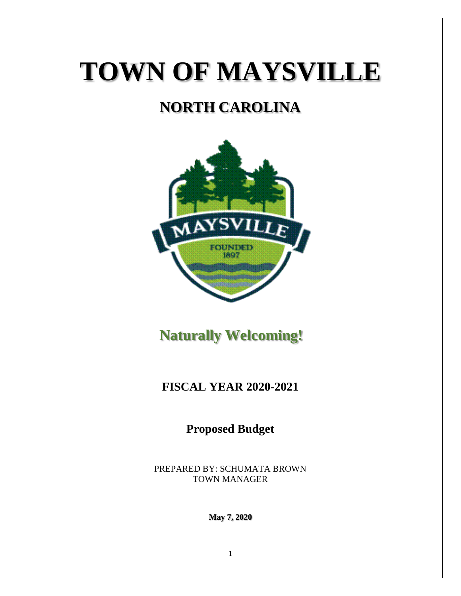# **TOWN OF MAYSVILLE**

# **NORTH CAROLINA**



 **Naturally Welcoming!**

### **FISCAL YEAR 2020-2021**

**Proposed Budget**

PREPARED BY: SCHUMATA BROWN TOWN MANAGER

**May 7, 2020**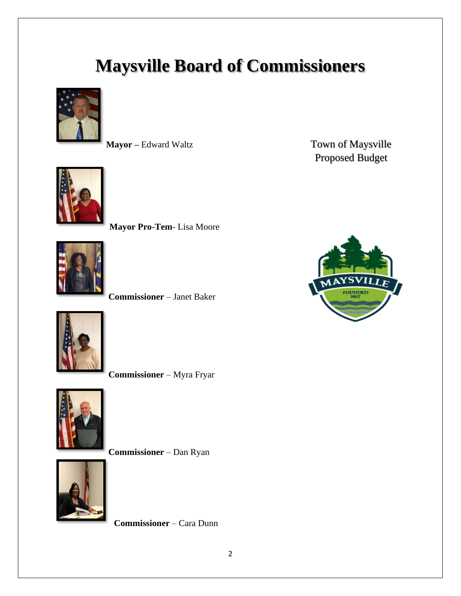# **Maysville Board of Commissioners**





**Mayor Pro-Tem**- Lisa Moore



**Commissioner** – Janet Baker



**Commissioner** – Myra Fryar



**Commissioner** – Dan Ryan



**Commissioner** – Cara Dunn

**Mayor** – Edward Waltz **Town of Maysville** Proposed Budget

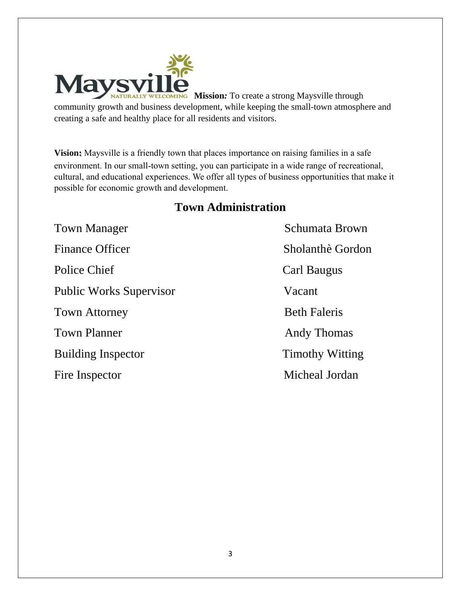

**WELCOMING** Mission: To create a strong Maysville through community growth and business development, while keeping the small-town atmosphere and creating a safe and healthy place for all residents and visitors.

**Vision:** Maysville is a friendly town that places importance on raising families in a safe environment. In our small-town setting, you can participate in a wide range of recreational, cultural, and educational experiences. We offer all types of business opportunities that make it possible for economic growth and development.

#### **Town Administration**

Town Manager Schumata Brown Finance Officer Sholanthè Gordon Police Chief Carl Baugus Public Works Supervisor Vacant Town Attorney Beth Faleris Town Planner **Andy Thomas** Building Inspector Timothy Witting Fire Inspector Micheal Jordan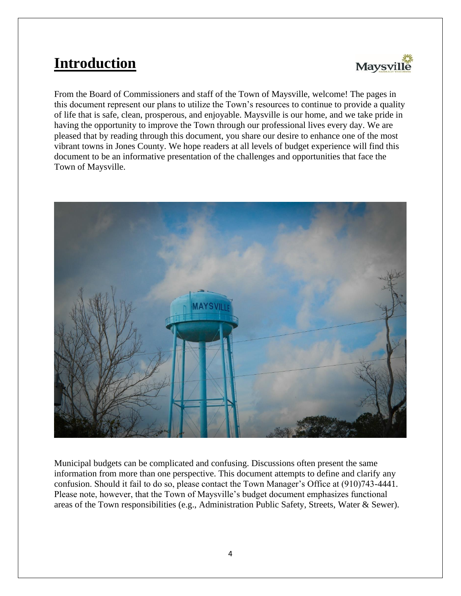# **Introduction**



From the Board of Commissioners and staff of the Town of Maysville, welcome! The pages in this document represent our plans to utilize the Town's resources to continue to provide a quality of life that is safe, clean, prosperous, and enjoyable. Maysville is our home, and we take pride in having the opportunity to improve the Town through our professional lives every day. We are pleased that by reading through this document, you share our desire to enhance one of the most vibrant towns in Jones County. We hope readers at all levels of budget experience will find this document to be an informative presentation of the challenges and opportunities that face the Town of Maysville.



Municipal budgets can be complicated and confusing. Discussions often present the same information from more than one perspective. This document attempts to define and clarify any confusion. Should it fail to do so, please contact the Town Manager's Office at (910)743-4441. Please note, however, that the Town of Maysville's budget document emphasizes functional areas of the Town responsibilities (e.g., Administration Public Safety, Streets, Water & Sewer).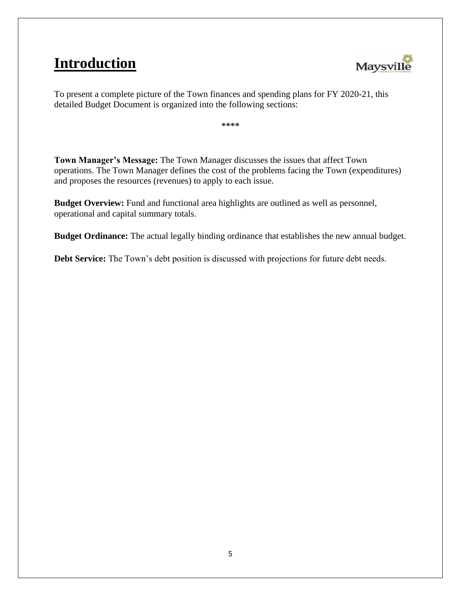# **Introduction**



To present a complete picture of the Town finances and spending plans for FY 2020-21, this detailed Budget Document is organized into the following sections:

\*\*\*\*

**Town Manager's Message:** The Town Manager discusses the issues that affect Town operations. The Town Manager defines the cost of the problems facing the Town (expenditures) and proposes the resources (revenues) to apply to each issue.

**Budget Overview:** Fund and functional area highlights are outlined as well as personnel, operational and capital summary totals.

**Budget Ordinance:** The actual legally binding ordinance that establishes the new annual budget.

**Debt Service:** The Town's debt position is discussed with projections for future debt needs.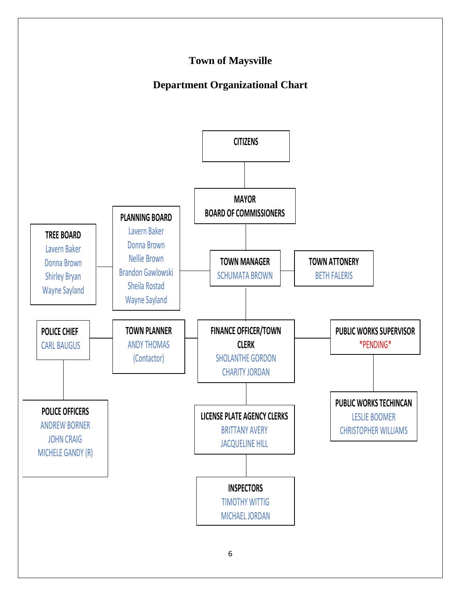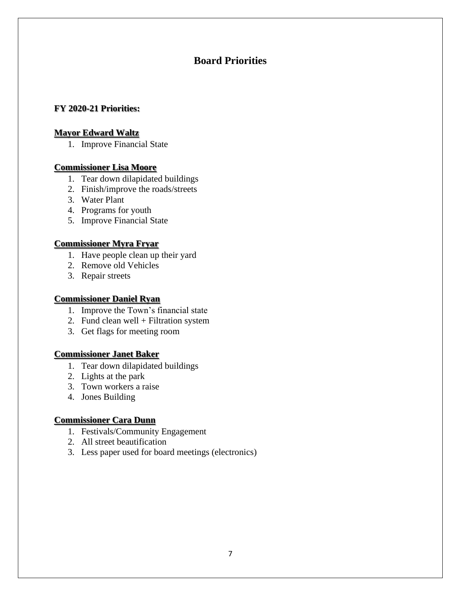#### **Board Priorities**

#### **FY 2020-21 Priorities:**

#### **Mayor Edward Waltz**

1. Improve Financial State

#### **Commissioner Lisa Moore**

- 1. Tear down dilapidated buildings
- 2. Finish/improve the roads/streets
- 3. Water Plant
- 4. Programs for youth
- 5. Improve Financial State

#### **Commissioner Myra Fryar**

- 1. Have people clean up their yard
- 2. Remove old Vehicles
- 3. Repair streets

#### **Commissioner Daniel Ryan**

- 1. Improve the Town's financial state
- 2. Fund clean well + Filtration system
- 3. Get flags for meeting room

#### **Commissioner Janet Baker**

- 1. Tear down dilapidated buildings
- 2. Lights at the park
- 3. Town workers a raise
- 4. Jones Building

#### **Commissioner Cara Dunn**

- 1. Festivals/Community Engagement
- 2. All street beautification
- 3. Less paper used for board meetings (electronics)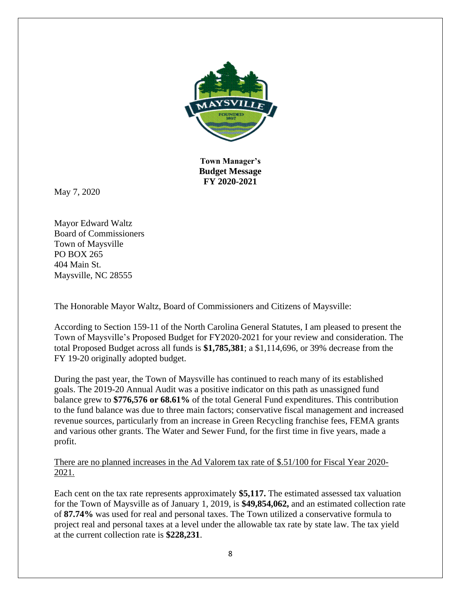

**Town Manager's Budget Message FY 2020-2021**

May 7, 2020

Mayor Edward Waltz Board of Commissioners Town of Maysville PO BOX 265 404 Main St. Maysville, NC 28555

The Honorable Mayor Waltz, Board of Commissioners and Citizens of Maysville:

According to Section 159-11 of the North Carolina General Statutes, I am pleased to present the Town of Maysville's Proposed Budget for FY2020-2021 for your review and consideration. The total Proposed Budget across all funds is **\$1,785,381**; a \$1,114,696, or 39% decrease from the FY 19-20 originally adopted budget.

During the past year, the Town of Maysville has continued to reach many of its established goals. The 2019-20 Annual Audit was a positive indicator on this path as unassigned fund balance grew to **\$776,576 or 68.61%** of the total General Fund expenditures. This contribution to the fund balance was due to three main factors; conservative fiscal management and increased revenue sources, particularly from an increase in Green Recycling franchise fees, FEMA grants and various other grants. The Water and Sewer Fund, for the first time in five years, made a profit.

There are no planned increases in the Ad Valorem tax rate of \$.51/100 for Fiscal Year 2020- 2021.

Each cent on the tax rate represents approximately **\$5,117.** The estimated assessed tax valuation for the Town of Maysville as of January 1, 2019, is **\$49,854,062,** and an estimated collection rate of **87.74%** was used for real and personal taxes. The Town utilized a conservative formula to project real and personal taxes at a level under the allowable tax rate by state law. The tax yield at the current collection rate is **\$228,231**.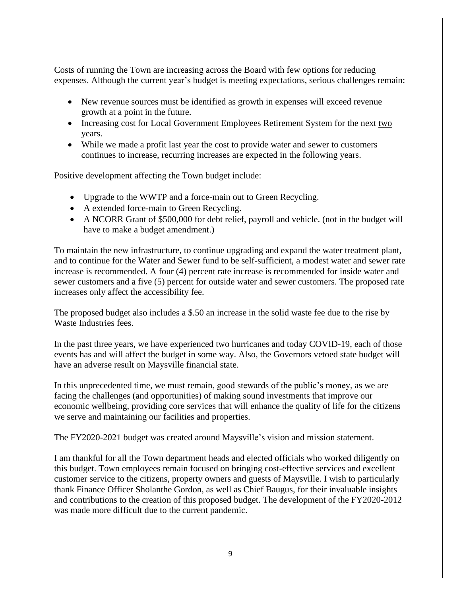Costs of running the Town are increasing across the Board with few options for reducing expenses. Although the current year's budget is meeting expectations, serious challenges remain:

- New revenue sources must be identified as growth in expenses will exceed revenue growth at a point in the future.
- Increasing cost for Local Government Employees Retirement System for the next two years.
- While we made a profit last year the cost to provide water and sewer to customers continues to increase, recurring increases are expected in the following years.

Positive development affecting the Town budget include:

- Upgrade to the WWTP and a force-main out to Green Recycling.
- A extended force-main to Green Recycling.
- A NCORR Grant of \$500,000 for debt relief, payroll and vehicle. (not in the budget will have to make a budget amendment.)

To maintain the new infrastructure, to continue upgrading and expand the water treatment plant, and to continue for the Water and Sewer fund to be self-sufficient, a modest water and sewer rate increase is recommended. A four (4) percent rate increase is recommended for inside water and sewer customers and a five (5) percent for outside water and sewer customers. The proposed rate increases only affect the accessibility fee.

The proposed budget also includes a \$.50 an increase in the solid waste fee due to the rise by Waste Industries fees.

In the past three years, we have experienced two hurricanes and today COVID-19, each of those events has and will affect the budget in some way. Also, the Governors vetoed state budget will have an adverse result on Maysville financial state.

In this unprecedented time, we must remain, good stewards of the public's money, as we are facing the challenges (and opportunities) of making sound investments that improve our economic wellbeing, providing core services that will enhance the quality of life for the citizens we serve and maintaining our facilities and properties.

The FY2020-2021 budget was created around Maysville's vision and mission statement.

I am thankful for all the Town department heads and elected officials who worked diligently on this budget. Town employees remain focused on bringing cost-effective services and excellent customer service to the citizens, property owners and guests of Maysville. I wish to particularly thank Finance Officer Sholanthe Gordon, as well as Chief Baugus, for their invaluable insights and contributions to the creation of this proposed budget. The development of the FY2020-2012 was made more difficult due to the current pandemic.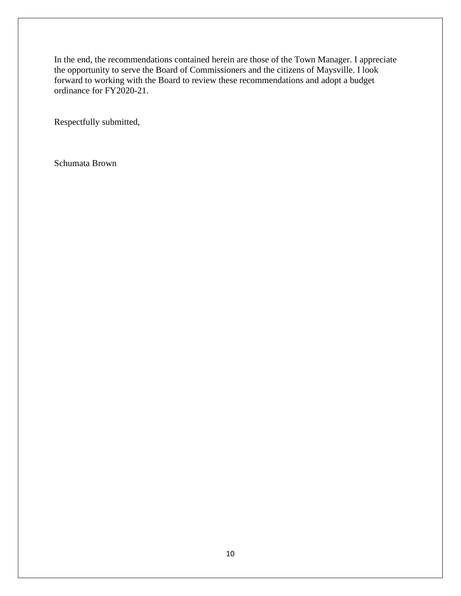In the end, the recommendations contained herein are those of the Town Manager. I appreciate the opportunity to serve the Board of Commissioners and the citizens of Maysville. I look forward to working with the Board to review these recommendations and adopt a budget ordinance for FY2020-21.

Respectfully submitted,

Schumata Brown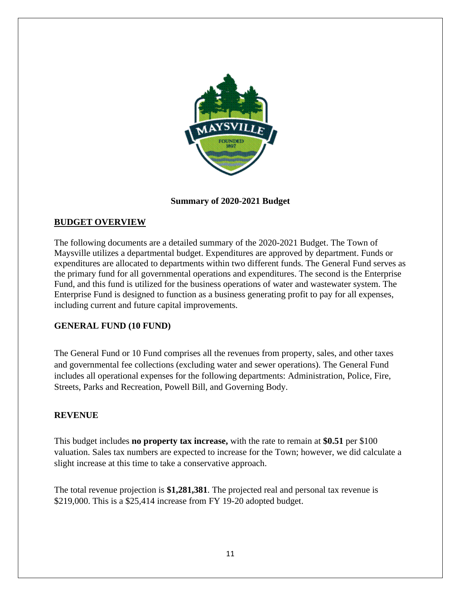

**Summary of 2020-2021 Budget**

#### **BUDGET OVERVIEW**

The following documents are a detailed summary of the 2020-2021 Budget. The Town of Maysville utilizes a departmental budget. Expenditures are approved by department. Funds or expenditures are allocated to departments within two different funds. The General Fund serves as the primary fund for all governmental operations and expenditures. The second is the Enterprise Fund, and this fund is utilized for the business operations of water and wastewater system. The Enterprise Fund is designed to function as a business generating profit to pay for all expenses, including current and future capital improvements.

#### **GENERAL FUND (10 FUND)**

The General Fund or 10 Fund comprises all the revenues from property, sales, and other taxes and governmental fee collections (excluding water and sewer operations). The General Fund includes all operational expenses for the following departments: Administration, Police, Fire, Streets, Parks and Recreation, Powell Bill, and Governing Body.

#### **REVENUE**

This budget includes **no property tax increase,** with the rate to remain at **\$0.51** per \$100 valuation. Sales tax numbers are expected to increase for the Town; however, we did calculate a slight increase at this time to take a conservative approach.

The total revenue projection is **\$1,281,381**. The projected real and personal tax revenue is \$219,000. This is a \$25,414 increase from FY 19-20 adopted budget.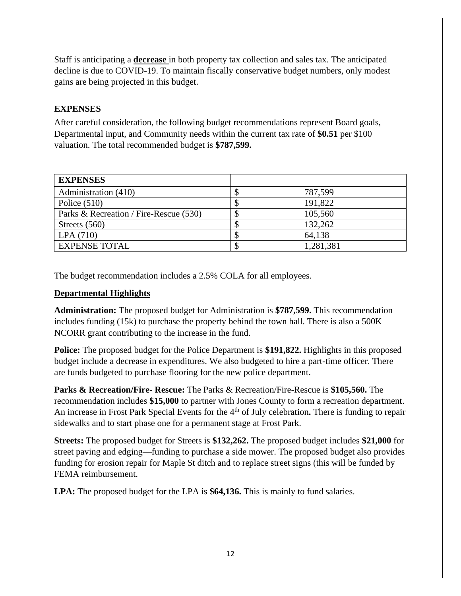Staff is anticipating a **decrease** in both property tax collection and sales tax. The anticipated decline is due to COVID-19. To maintain fiscally conservative budget numbers, only modest gains are being projected in this budget.

#### **EXPENSES**

After careful consideration, the following budget recommendations represent Board goals, Departmental input, and Community needs within the current tax rate of **\$0.51** per \$100 valuation. The total recommended budget is **\$787,599.**

| <b>EXPENSES</b>                        |   |           |
|----------------------------------------|---|-----------|
| Administration (410)                   | ◡ | 787,599   |
| Police $(510)$                         |   | 191,822   |
| Parks & Recreation / Fire-Rescue (530) | Φ | 105,560   |
| Streets $(560)$                        |   | 132,262   |
| LPA(710)                               | ◡ | 64,138    |
| <b>EXPENSE TOTAL</b>                   |   | 1,281,381 |

The budget recommendation includes a 2.5% COLA for all employees.

#### **Departmental Highlights**

**Administration:** The proposed budget for Administration is **\$787,599.** This recommendation includes funding (15k) to purchase the property behind the town hall. There is also a 500K NCORR grant contributing to the increase in the fund.

**Police:** The proposed budget for the Police Department is **\$191,822.** Highlights in this proposed budget include a decrease in expenditures. We also budgeted to hire a part-time officer. There are funds budgeted to purchase flooring for the new police department.

**Parks & Recreation/Fire- Rescue:** The Parks & Recreation/Fire-Rescue is **\$105,560.** The recommendation includes **\$15,000** to partner with Jones County to form a recreation department. An increase in Frost Park Special Events for the 4th of July celebration**.** There is funding to repair sidewalks and to start phase one for a permanent stage at Frost Park.

**Streets:** The proposed budget for Streets is **\$132,262.** The proposed budget includes **\$21,000** for street paving and edging—funding to purchase a side mower. The proposed budget also provides funding for erosion repair for Maple St ditch and to replace street signs (this will be funded by FEMA reimbursement.

**LPA:** The proposed budget for the LPA is **\$64,136.** This is mainly to fund salaries.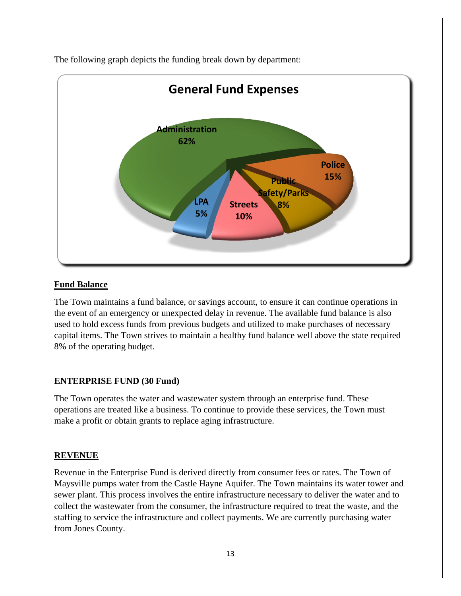

The following graph depicts the funding break down by department:

#### **Fund Balance**

The Town maintains a fund balance, or savings account, to ensure it can continue operations in the event of an emergency or unexpected delay in revenue. The available fund balance is also used to hold excess funds from previous budgets and utilized to make purchases of necessary capital items. The Town strives to maintain a healthy fund balance well above the state required 8% of the operating budget.

#### **ENTERPRISE FUND (30 Fund)**

The Town operates the water and wastewater system through an enterprise fund. These operations are treated like a business. To continue to provide these services, the Town must make a profit or obtain grants to replace aging infrastructure.

#### **REVENUE**

Revenue in the Enterprise Fund is derived directly from consumer fees or rates. The Town of Maysville pumps water from the Castle Hayne Aquifer. The Town maintains its water tower and sewer plant. This process involves the entire infrastructure necessary to deliver the water and to collect the wastewater from the consumer, the infrastructure required to treat the waste, and the staffing to service the infrastructure and collect payments. We are currently purchasing water from Jones County.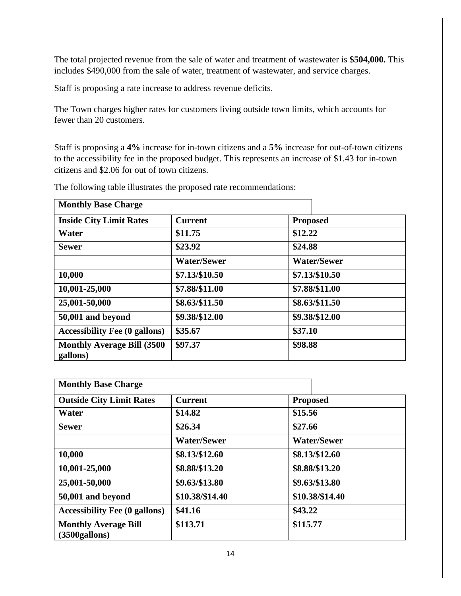The total projected revenue from the sale of water and treatment of wastewater is **\$504,000.** This includes \$490,000 from the sale of water, treatment of wastewater, and service charges.

Staff is proposing a rate increase to address revenue deficits.

The Town charges higher rates for customers living outside town limits, which accounts for fewer than 20 customers.

Staff is proposing a **4%** increase for in-town citizens and a **5%** increase for out-of-town citizens to the accessibility fee in the proposed budget. This represents an increase of \$1.43 for in-town citizens and \$2.06 for out of town citizens.

| <b>Monthly Base Charge</b>                     |                    |                    |  |
|------------------------------------------------|--------------------|--------------------|--|
| <b>Inside City Limit Rates</b>                 | <b>Current</b>     | <b>Proposed</b>    |  |
| Water                                          | \$11.75            | \$12.22            |  |
| <b>Sewer</b>                                   | \$23.92            | \$24.88            |  |
|                                                | <b>Water/Sewer</b> | <b>Water/Sewer</b> |  |
| 10,000                                         | \$7.13/\$10.50     | \$7.13/\$10.50     |  |
| 10,001-25,000                                  | \$7.88/\$11.00     | \$7.88/\$11.00     |  |
| 25,001-50,000                                  | \$8.63/\$11.50     | \$8.63/\$11.50     |  |
| 50,001 and beyond                              | \$9.38/\$12.00     | \$9.38/\$12.00     |  |
| <b>Accessibility Fee (0 gallons)</b>           | \$35.67            | \$37.10            |  |
| <b>Monthly Average Bill (3500)</b><br>gallons) | \$97.37            | \$98.88            |  |

The following table illustrates the proposed rate recommendations:

| <b>Monthly Base Charge</b>                       |                    |                    |
|--------------------------------------------------|--------------------|--------------------|
| <b>Outside City Limit Rates</b>                  | <b>Current</b>     | <b>Proposed</b>    |
| Water                                            | \$14.82            | \$15.56            |
| <b>Sewer</b>                                     | \$26.34            | \$27.66            |
|                                                  | <b>Water/Sewer</b> | <b>Water/Sewer</b> |
| 10,000                                           | \$8.13/\$12.60     | \$8.13/\$12.60     |
| 10,001-25,000                                    | \$8.88/\$13.20     | \$8.88/\$13.20     |
| 25,001-50,000                                    | \$9.63/\$13.80     | \$9.63/\$13.80     |
| 50,001 and beyond                                | \$10.38/\$14.40    | \$10.38/\$14.40    |
| <b>Accessibility Fee (0 gallons)</b>             | \$41.16            | \$43.22            |
| <b>Monthly Average Bill</b><br>$(3500)$ gallons) | \$113.71           | \$115.77           |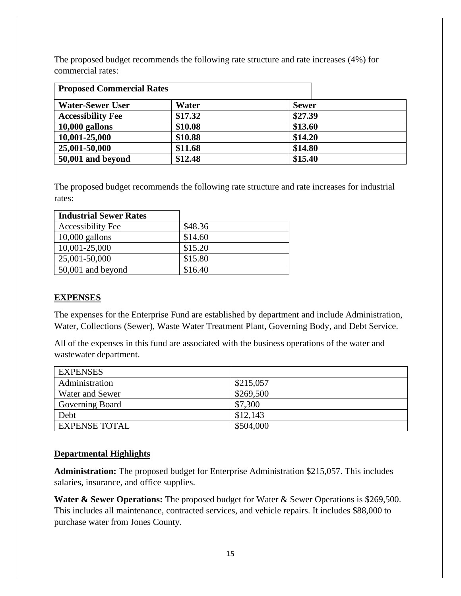The proposed budget recommends the following rate structure and rate increases (4%) for commercial rates:

| <b>Proposed Commercial Rates</b> |         |              |
|----------------------------------|---------|--------------|
| <b>Water-Sewer User</b>          | Water   | <b>Sewer</b> |
| <b>Accessibility Fee</b>         | \$17.32 | \$27.39      |
| $10,000$ gallons                 | \$10.08 | \$13.60      |
| 10,001-25,000                    | \$10.88 | \$14.20      |
| 25,001-50,000                    | \$11.68 | \$14.80      |
| 50,001 and beyond                | \$12.48 | \$15.40      |

The proposed budget recommends the following rate structure and rate increases for industrial rates:

| <b>Industrial Sewer Rates</b> |         |
|-------------------------------|---------|
| <b>Accessibility Fee</b>      | \$48.36 |
| $10,000$ gallons              | \$14.60 |
| 10,001-25,000                 | \$15.20 |
| 25,001-50,000                 | \$15.80 |
| 50,001 and beyond             | \$16.40 |

#### **EXPENSES**

The expenses for the Enterprise Fund are established by department and include Administration, Water, Collections (Sewer), Waste Water Treatment Plant, Governing Body, and Debt Service.

All of the expenses in this fund are associated with the business operations of the water and wastewater department.

| <b>EXPENSES</b>      |           |
|----------------------|-----------|
| Administration       | \$215,057 |
| Water and Sewer      | \$269,500 |
| Governing Board      | \$7,300   |
| Debt                 | \$12,143  |
| <b>EXPENSE TOTAL</b> | \$504,000 |

#### **Departmental Highlights**

**Administration:** The proposed budget for Enterprise Administration \$215,057. This includes salaries, insurance, and office supplies.

Water & Sewer Operations: The proposed budget for Water & Sewer Operations is \$269,500. This includes all maintenance, contracted services, and vehicle repairs. It includes \$88,000 to purchase water from Jones County.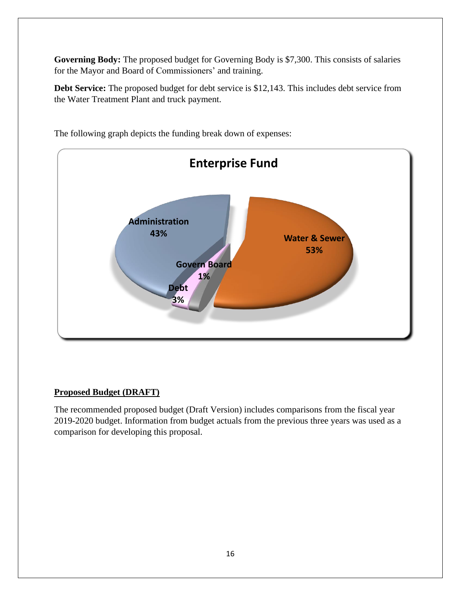**Governing Body:** The proposed budget for Governing Body is \$7,300. This consists of salaries for the Mayor and Board of Commissioners' and training.

**Debt Service:** The proposed budget for debt service is \$12,143. This includes debt service from the Water Treatment Plant and truck payment.



The following graph depicts the funding break down of expenses:

#### **Proposed Budget (DRAFT)**

The recommended proposed budget (Draft Version) includes comparisons from the fiscal year 2019-2020 budget. Information from budget actuals from the previous three years was used as a comparison for developing this proposal.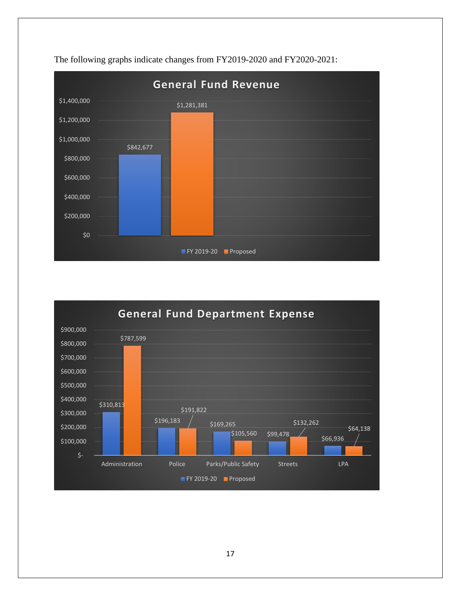

The following graphs indicate changes from FY2019-2020 and FY2020-2021:

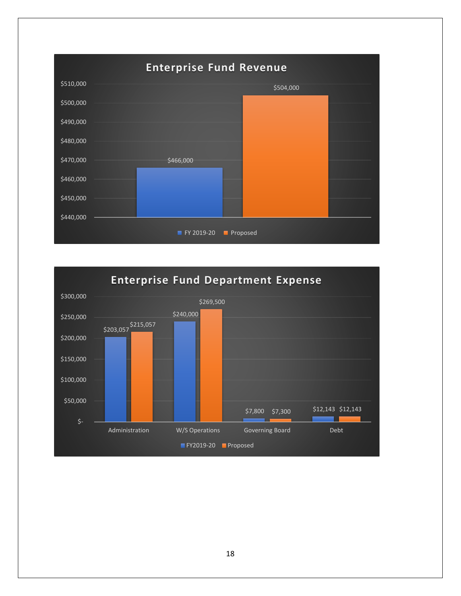